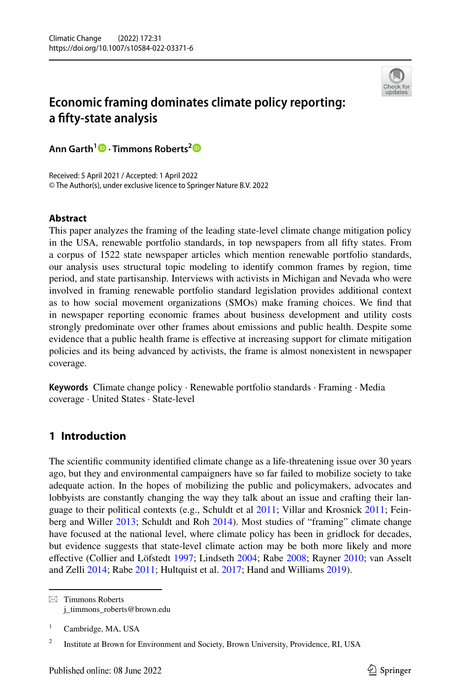

# **Economic framing dominates climate policy reporting: a ffty‑state analysis**

**Ann Garth<sup>1</sup> · Timmons Roberts[2](http://orcid.org/0000-0002-8726-5698)**

Received: 5 April 2021 / Accepted: 1 April 2022 © The Author(s), under exclusive licence to Springer Nature B.V. 2022

## **Abstract**

This paper analyzes the framing of the leading state-level climate change mitigation policy in the USA, renewable portfolio standards, in top newspapers from all ffty states. From a corpus of 1522 state newspaper articles which mention renewable portfolio standards, our analysis uses structural topic modeling to identify common frames by region, time period, and state partisanship. Interviews with activists in Michigan and Nevada who were involved in framing renewable portfolio standard legislation provides additional context as to how social movement organizations (SMOs) make framing choices. We fnd that in newspaper reporting economic frames about business development and utility costs strongly predominate over other frames about emissions and public health. Despite some evidence that a public health frame is efective at increasing support for climate mitigation policies and its being advanced by activists, the frame is almost nonexistent in newspaper coverage.

**Keywords** Climate change policy · Renewable portfolio standards · Framing · Media coverage · United States · State-level

## **1 Introduction**

The scientifc community identifed climate change as a life-threatening issue over 30 years ago, but they and environmental campaigners have so far failed to mobilize society to take adequate action. In the hopes of mobilizing the public and policymakers, advocates and lobbyists are constantly changing the way they talk about an issue and crafting their language to their political contexts (e.g., Schuldt et al [2011;](#page-20-0) Villar and Krosnick [2011](#page-20-1); Fein-berg and Willer [2013;](#page-19-0) Schuldt and Roh [2014\)](#page-20-2). Most studies of "framing" climate change have focused at the national level, where climate policy has been in gridlock for decades, but evidence suggests that state-level climate action may be both more likely and more efective (Collier and Löfstedt [1997;](#page-18-0) Lindseth [2004](#page-19-1); Rabe [2008](#page-19-2); Rayner [2010;](#page-19-3) van Asselt and Zelli [2014](#page-20-3); Rabe [2011](#page-19-4); Hultquist et al. [2017](#page-19-5); Hand and Williams [2019\)](#page-19-6).

 $\boxtimes$  Timmons Roberts j\_timmons\_roberts@brown.edu

<sup>&</sup>lt;sup>1</sup> Cambridge, MA, USA

<sup>&</sup>lt;sup>2</sup> Institute at Brown for Environment and Society, Brown University, Providence, RI, USA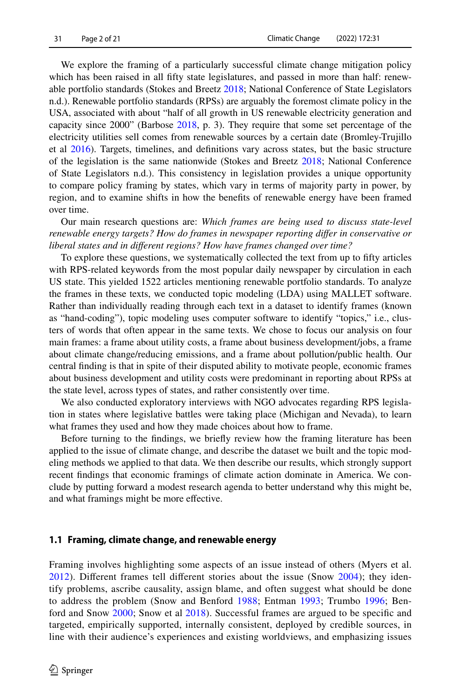We explore the framing of a particularly successful climate change mitigation policy which has been raised in all ffty state legislatures, and passed in more than half: renewable portfolio standards (Stokes and Breetz [2018](#page-20-4); National Conference of State Legislators n.d.). Renewable portfolio standards (RPSs) are arguably the foremost climate policy in the USA, associated with about "half of all growth in US renewable electricity generation and capacity since 2000" (Barbose [2018,](#page-18-1) p. 3). They require that some set percentage of the electricity utilities sell comes from renewable sources by a certain date (Bromley-Trujillo et al [2016](#page-18-2)). Targets, timelines, and defnitions vary across states, but the basic structure of the legislation is the same nationwide (Stokes and Breetz [2018;](#page-20-4) National Conference of State Legislators n.d.). This consistency in legislation provides a unique opportunity to compare policy framing by states, which vary in terms of majority party in power, by region, and to examine shifts in how the benefts of renewable energy have been framed over time.

Our main research questions are: *Which frames are being used to discuss state-level renewable energy targets? How do frames in newspaper reporting difer in conservative or liberal states and in diferent regions? How have frames changed over time?*

To explore these questions, we systematically collected the text from up to ffty articles with RPS-related keywords from the most popular daily newspaper by circulation in each US state. This yielded 1522 articles mentioning renewable portfolio standards. To analyze the frames in these texts, we conducted topic modeling (LDA) using MALLET software. Rather than individually reading through each text in a dataset to identify frames (known as "hand-coding"), topic modeling uses computer software to identify "topics," i.e., clusters of words that often appear in the same texts. We chose to focus our analysis on four main frames: a frame about utility costs, a frame about business development/jobs, a frame about climate change/reducing emissions, and a frame about pollution/public health. Our central fnding is that in spite of their disputed ability to motivate people, economic frames about business development and utility costs were predominant in reporting about RPSs at the state level, across types of states, and rather consistently over time.

We also conducted exploratory interviews with NGO advocates regarding RPS legislation in states where legislative battles were taking place (Michigan and Nevada), to learn what frames they used and how they made choices about how to frame.

Before turning to the fndings, we briefy review how the framing literature has been applied to the issue of climate change, and describe the dataset we built and the topic modeling methods we applied to that data. We then describe our results, which strongly support recent fndings that economic framings of climate action dominate in America. We conclude by putting forward a modest research agenda to better understand why this might be, and what framings might be more efective.

## **1.1 Framing, climate change, and renewable energy**

Framing involves highlighting some aspects of an issue instead of others (Myers et al. [2012](#page-19-7)). Diferent frames tell diferent stories about the issue (Snow [2004](#page-20-5)); they identify problems, ascribe causality, assign blame, and often suggest what should be done to address the problem (Snow and Benford [1988;](#page-20-6) Entman [1993;](#page-19-8) Trumbo [1996](#page-20-7); Benford and Snow [2000;](#page-18-3) Snow et al [2018](#page-20-8)). Successful frames are argued to be specifc and targeted, empirically supported, internally consistent, deployed by credible sources, in line with their audience's experiences and existing worldviews, and emphasizing issues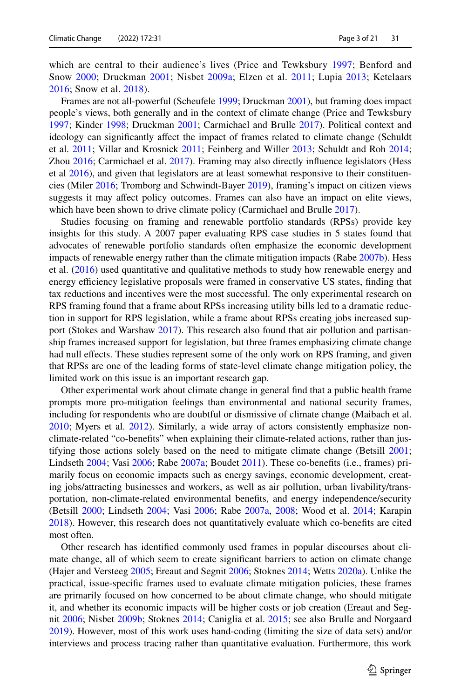which are central to their audience's lives (Price and Tewksbury [1997](#page-19-9); Benford and Snow [2000;](#page-18-3) Druckman [2001](#page-18-4); Nisbet [2009a;](#page-19-10) Elzen et al. [2011](#page-19-11); Lupia [2013;](#page-19-12) Ketelaars [2016](#page-19-13); Snow et al. [2018](#page-20-8)).

Frames are not all-powerful (Scheufele [1999;](#page-20-9) Druckman [2001\)](#page-18-4), but framing does impact people's views, both generally and in the context of climate change (Price and Tewksbury [1997;](#page-19-9) Kinder [1998](#page-19-14); Druckman [2001](#page-18-4); Carmichael and Brulle [2017](#page-18-5)). Political context and ideology can signifcantly afect the impact of frames related to climate change (Schuldt et al. [2011;](#page-20-0) Villar and Krosnick [2011](#page-20-1); Feinberg and Willer [2013;](#page-19-0) Schuldt and Roh [2014;](#page-20-2) Zhou [2016](#page-20-10); Carmichael et al. [2017\)](#page-18-6). Framing may also directly infuence legislators (Hess et al [2016\)](#page-19-15), and given that legislators are at least somewhat responsive to their constituencies (Miler [2016](#page-19-16); Tromborg and Schwindt-Bayer [2019](#page-20-11)), framing's impact on citizen views suggests it may afect policy outcomes. Frames can also have an impact on elite views, which have been shown to drive climate policy (Carmichael and Brulle [2017](#page-18-5)).

Studies focusing on framing and renewable portfolio standards (RPSs) provide key insights for this study. A 2007 paper evaluating RPS case studies in 5 states found that advocates of renewable portfolio standards often emphasize the economic development impacts of renewable energy rather than the climate mitigation impacts (Rabe [2007b](#page-19-17)). Hess et al. [\(2016](#page-19-15)) used quantitative and qualitative methods to study how renewable energy and energy efficiency legislative proposals were framed in conservative US states, finding that tax reductions and incentives were the most successful. The only experimental research on RPS framing found that a frame about RPSs increasing utility bills led to a dramatic reduction in support for RPS legislation, while a frame about RPSs creating jobs increased support (Stokes and Warshaw [2017\)](#page-20-12). This research also found that air pollution and partisanship frames increased support for legislation, but three frames emphasizing climate change had null effects. These studies represent some of the only work on RPS framing, and given that RPSs are one of the leading forms of state-level climate change mitigation policy, the limited work on this issue is an important research gap.

Other experimental work about climate change in general fnd that a public health frame prompts more pro-mitigation feelings than environmental and national security frames, including for respondents who are doubtful or dismissive of climate change (Maibach et al. [2010;](#page-19-18) Myers et al. [2012](#page-19-7)). Similarly, a wide array of actors consistently emphasize nonclimate-related "co-benefts" when explaining their climate-related actions, rather than justifying those actions solely based on the need to mitigate climate change (Betsill [2001;](#page-18-7) Lindseth [2004;](#page-19-1) Vasi [2006](#page-20-13); Rabe [2007a;](#page-19-19) Boudet [2011\)](#page-18-8). These co-benefts (i.e., frames) primarily focus on economic impacts such as energy savings, economic development, creating jobs/attracting businesses and workers, as well as air pollution, urban livability/transportation, non-climate-related environmental benefts, and energy independence/security (Betsill [2000](#page-18-9); Lindseth [2004](#page-19-1); Vasi [2006](#page-20-13); Rabe [2007a,](#page-19-19) [2008;](#page-19-2) Wood et al. [2014;](#page-20-14) Karapin [2018\)](#page-19-20). However, this research does not quantitatively evaluate which co-benefts are cited most often.

Other research has identifed commonly used frames in popular discourses about climate change, all of which seem to create signifcant barriers to action on climate change (Hajer and Versteeg [2005;](#page-19-21) Ereaut and Segnit [2006](#page-19-22); Stoknes [2014](#page-20-15); Wetts [2020a](#page-20-16)). Unlike the practical, issue-specifc frames used to evaluate climate mitigation policies, these frames are primarily focused on how concerned to be about climate change, who should mitigate it, and whether its economic impacts will be higher costs or job creation (Ereaut and Segnit [2006;](#page-19-22) Nisbet [2009b;](#page-19-23) Stoknes [2014](#page-20-15); Caniglia et al. [2015;](#page-18-10) see also Brulle and Norgaard [2019\)](#page-18-11). However, most of this work uses hand-coding (limiting the size of data sets) and/or interviews and process tracing rather than quantitative evaluation. Furthermore, this work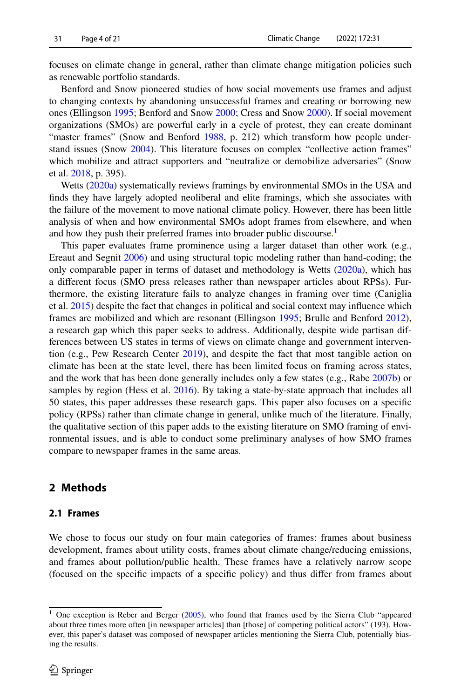focuses on climate change in general, rather than climate change mitigation policies such as renewable portfolio standards.

Benford and Snow pioneered studies of how social movements use frames and adjust to changing contexts by abandoning unsuccessful frames and creating or borrowing new ones (Ellingson [1995](#page-18-12); Benford and Snow [2000;](#page-18-3) Cress and Snow [2000\)](#page-18-13). If social movement organizations (SMOs) are powerful early in a cycle of protest, they can create dominant "master frames" (Snow and Benford [1988](#page-20-6), p. 212) which transform how people understand issues (Snow [2004\)](#page-20-5). This literature focuses on complex "collective action frames" which mobilize and attract supporters and "neutralize or demobilize adversaries" (Snow et al. [2018,](#page-20-8) p. 395).

Wetts [\(2020a](#page-20-16)) systematically reviews framings by environmental SMOs in the USA and fnds they have largely adopted neoliberal and elite framings, which she associates with the failure of the movement to move national climate policy. However, there has been little analysis of when and how environmental SMOs adopt frames from elsewhere, and when and how they push their preferred frames into broader public discourse.<sup>1</sup>

This paper evaluates frame prominence using a larger dataset than other work (e.g., Ereaut and Segnit [2006](#page-19-22)) and using structural topic modeling rather than hand-coding; the only comparable paper in terms of dataset and methodology is Wetts ([2020a\)](#page-20-16), which has a diferent focus (SMO press releases rather than newspaper articles about RPSs). Furthermore, the existing literature fails to analyze changes in framing over time (Caniglia et al. [2015](#page-18-10)) despite the fact that changes in political and social context may infuence which frames are mobilized and which are resonant (Ellingson [1995](#page-18-12); Brulle and Benford [2012](#page-18-14)), a research gap which this paper seeks to address. Additionally, despite wide partisan differences between US states in terms of views on climate change and government intervention (e.g., Pew Research Center [2019](#page-19-24)), and despite the fact that most tangible action on climate has been at the state level, there has been limited focus on framing across states, and the work that has been done generally includes only a few states (e.g., Rabe [2007b\)](#page-19-17) or samples by region (Hess et al. [2016\)](#page-19-15). By taking a state-by-state approach that includes all 50 states, this paper addresses these research gaps. This paper also focuses on a specifc policy (RPSs) rather than climate change in general, unlike much of the literature. Finally, the qualitative section of this paper adds to the existing literature on SMO framing of environmental issues, and is able to conduct some preliminary analyses of how SMO frames compare to newspaper frames in the same areas.

## **2 Methods**

### **2.1 Frames**

We chose to focus our study on four main categories of frames: frames about business development, frames about utility costs, frames about climate change/reducing emissions, and frames about pollution/public health. These frames have a relatively narrow scope (focused on the specifc impacts of a specifc policy) and thus difer from frames about

<span id="page-3-0"></span><sup>&</sup>lt;sup>1</sup> One exception is Reber and Berger ([2005\)](#page-20-17), who found that frames used by the Sierra Club "appeared about three times more often [in newspaper articles] than [those] of competing political actors" (193). However, this paper's dataset was composed of newspaper articles mentioning the Sierra Club, potentially biasing the results.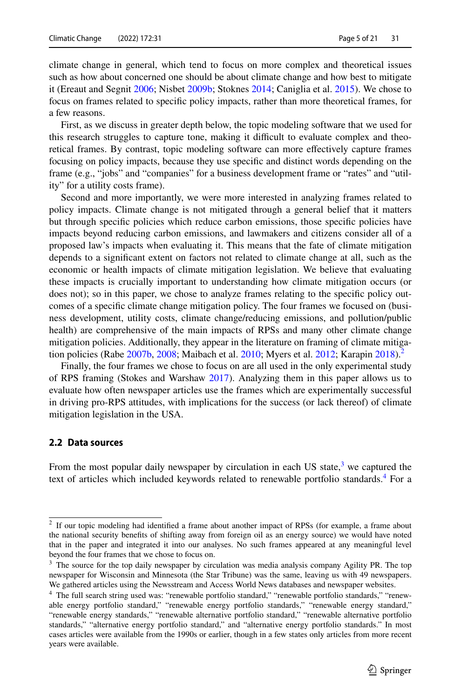climate change in general, which tend to focus on more complex and theoretical issues such as how about concerned one should be about climate change and how best to mitigate it (Ereaut and Segnit [2006;](#page-19-22) Nisbet [2009b;](#page-19-23) Stoknes [2014;](#page-20-15) Caniglia et al. [2015](#page-18-10)). We chose to focus on frames related to specifc policy impacts, rather than more theoretical frames, for a few reasons.

First, as we discuss in greater depth below, the topic modeling software that we used for this research struggles to capture tone, making it difficult to evaluate complex and theoretical frames. By contrast, topic modeling software can more efectively capture frames focusing on policy impacts, because they use specifc and distinct words depending on the frame (e.g., "jobs" and "companies" for a business development frame or "rates" and "utility" for a utility costs frame).

Second and more importantly, we were more interested in analyzing frames related to policy impacts. Climate change is not mitigated through a general belief that it matters but through specifc policies which reduce carbon emissions, those specifc policies have impacts beyond reducing carbon emissions, and lawmakers and citizens consider all of a proposed law's impacts when evaluating it. This means that the fate of climate mitigation depends to a signifcant extent on factors not related to climate change at all, such as the economic or health impacts of climate mitigation legislation. We believe that evaluating these impacts is crucially important to understanding how climate mitigation occurs (or does not); so in this paper, we chose to analyze frames relating to the specifc policy outcomes of a specifc climate change mitigation policy. The four frames we focused on (business development, utility costs, climate change/reducing emissions, and pollution/public health) are comprehensive of the main impacts of RPSs and many other climate change mitigation policies. Additionally, they appear in the literature on framing of climate mitiga-tion policies (Rabe [2007b,](#page-19-17) [2008](#page-19-2); Maibach et al. [2010;](#page-19-18) Myers et al. [2012;](#page-19-7) Karapin  $2018$ ).<sup>2</sup>

Finally, the four frames we chose to focus on are all used in the only experimental study of RPS framing (Stokes and Warshaw [2017](#page-20-12)). Analyzing them in this paper allows us to evaluate how often newspaper articles use the frames which are experimentally successful in driving pro-RPS attitudes, with implications for the success (or lack thereof) of climate mitigation legislation in the USA.

### **2.2 Data sources**

From the most popular daily newspaper by circulation in each US state, $3$  we captured the text of articles which included keywords related to renewable portfolio standards.<sup>4</sup> For a

<span id="page-4-0"></span><sup>2</sup> If our topic modeling had identifed a frame about another impact of RPSs (for example, a frame about the national security benefts of shifting away from foreign oil as an energy source) we would have noted that in the paper and integrated it into our analyses. No such frames appeared at any meaningful level beyond the four frames that we chose to focus on.<br><sup>3</sup> The source for the top daily newspaper by circle

<span id="page-4-1"></span><sup>3</sup> The source for the top daily newspaper by circulation was media analysis company Agility PR. The top newspaper for Wisconsin and Minnesota (the Star Tribune) was the same, leaving us with 49 newspapers. We gathered articles using the Newsstream and Access World News databases and newspaper websites.

<span id="page-4-2"></span><sup>&</sup>lt;sup>4</sup> The full search string used was: "renewable portfolio standard," "renewable portfolio standards," "renewable energy portfolio standard," "renewable energy portfolio standards," "renewable energy standard," "renewable energy standards," "renewable alternative portfolio standard," "renewable alternative portfolio standards," "alternative energy portfolio standard," and "alternative energy portfolio standards." In most cases articles were available from the 1990s or earlier, though in a few states only articles from more recent years were available.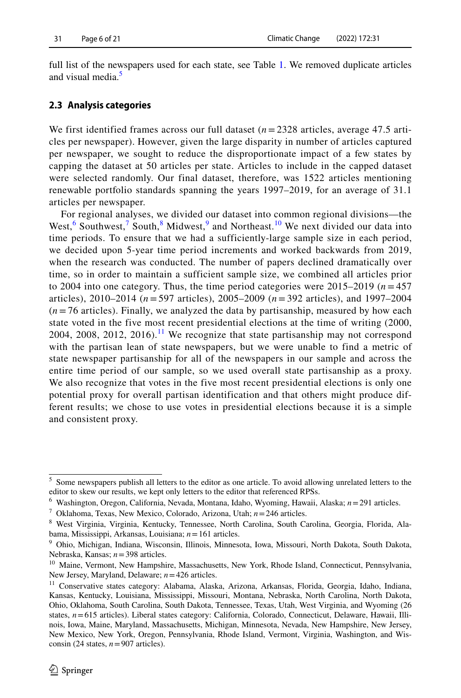full list of the newspapers used for each state, see Table [1.](#page-7-0) We removed duplicate articles and visual media.<sup>[5](#page-5-0)</sup>

## **2.3 Analysis categories**

We first identified frames across our full dataset  $(n=2328)$  articles, average 47.5 articles per newspaper). However, given the large disparity in number of articles captured per newspaper, we sought to reduce the disproportionate impact of a few states by capping the dataset at 50 articles per state. Articles to include in the capped dataset were selected randomly. Our final dataset, therefore, was 1522 articles mentioning renewable portfolio standards spanning the years 1997–2019, for an average of 31.1 articles per newspaper.

For regional analyses, we divided our dataset into common regional divisions—the West,<sup>[6](#page-5-1)</sup> Southwest,<sup>[7](#page-5-2)</sup> South,<sup>[8](#page-5-3)</sup> Midwest,<sup>[9](#page-5-4)</sup> and Northeast.<sup>10</sup> We next divided our data into time periods. To ensure that we had a sufficiently-large sample size in each period, we decided upon 5-year time period increments and worked backwards from 2019, when the research was conducted. The number of papers declined dramatically over time, so in order to maintain a sufficient sample size, we combined all articles prior to 2004 into one category. Thus, the time period categories were  $2015-2019$  ( $n = 457$ ) articles), 2010–2014 (*n* = 597 articles), 2005–2009 (*n* = 392 articles), and 1997–2004  $(n=76 \text{ articles})$ . Finally, we analyzed the data by partisanship, measured by how each state voted in the five most recent presidential elections at the time of writing (2000, 2004, 2008, 2012, 2016).<sup>[11](#page-5-6)</sup> We recognize that state partisanship may not correspond with the partisan lean of state newspapers, but we were unable to find a metric of state newspaper partisanship for all of the newspapers in our sample and across the entire time period of our sample, so we used overall state partisanship as a proxy. We also recognize that votes in the five most recent presidential elections is only one potential proxy for overall partisan identification and that others might produce different results; we chose to use votes in presidential elections because it is a simple and consistent proxy.

<span id="page-5-2"></span><sup>7</sup> Oklahoma, Texas, New Mexico, Colorado, Arizona, Utah; *n*=246 articles.

<span id="page-5-0"></span><sup>&</sup>lt;sup>5</sup> Some newspapers publish all letters to the editor as one article. To avoid allowing unrelated letters to the editor to skew our results, we kept only letters to the editor that referenced RPSs.

<span id="page-5-1"></span><sup>6</sup> Washington, Oregon, California, Nevada, Montana, Idaho, Wyoming, Hawaii, Alaska; *n*=291 articles.

<span id="page-5-3"></span><sup>8</sup> West Virginia, Virginia, Kentucky, Tennessee, North Carolina, South Carolina, Georgia, Florida, Alabama, Mississippi, Arkansas, Louisiana; *n*=161 articles.

<span id="page-5-4"></span><sup>9</sup> Ohio, Michigan, Indiana, Wisconsin, Illinois, Minnesota, Iowa, Missouri, North Dakota, South Dakota, Nebraska, Kansas; *n*=398 articles.

<span id="page-5-5"></span><sup>&</sup>lt;sup>10</sup> Maine, Vermont, New Hampshire, Massachusetts, New York, Rhode Island, Connecticut, Pennsylvania, New Jersey, Maryland, Delaware; *n*=426 articles.

<span id="page-5-6"></span><sup>11</sup> Conservative states category: Alabama, Alaska, Arizona, Arkansas, Florida, Georgia, Idaho, Indiana, Kansas, Kentucky, Louisiana, Mississippi, Missouri, Montana, Nebraska, North Carolina, North Dakota, Ohio, Oklahoma, South Carolina, South Dakota, Tennessee, Texas, Utah, West Virginia, and Wyoming (26 states,  $n=615$  articles). Liberal states category: California, Colorado, Connecticut, Delaware, Hawaii, Illinois, Iowa, Maine, Maryland, Massachusetts, Michigan, Minnesota, Nevada, New Hampshire, New Jersey, New Mexico, New York, Oregon, Pennsylvania, Rhode Island, Vermont, Virginia, Washington, and Wisconsin (24 states,  $n=907$  articles).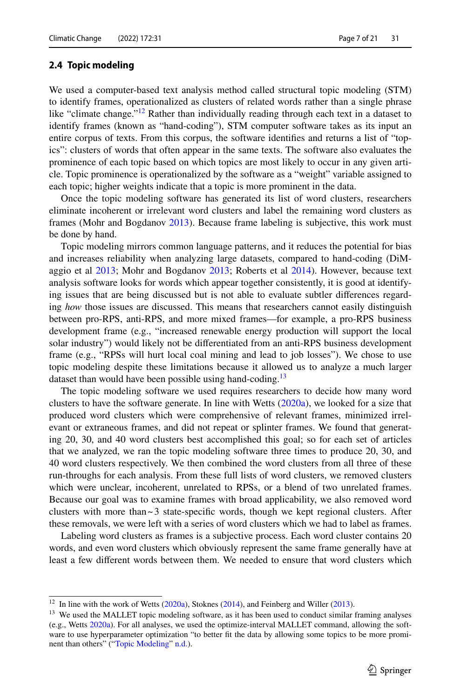## <span id="page-6-2"></span>**2.4 Topic modeling**

We used a computer-based text analysis method called structural topic modeling (STM) to identify frames, operationalized as clusters of related words rather than a single phrase like "climate change."<sup>[12](#page-6-0)</sup> Rather than individually reading through each text in a dataset to identify frames (known as "hand-coding"), STM computer software takes as its input an entire corpus of texts. From this corpus, the software identifes and returns a list of "topics": clusters of words that often appear in the same texts. The software also evaluates the prominence of each topic based on which topics are most likely to occur in any given article. Topic prominence is operationalized by the software as a "weight" variable assigned to each topic; higher weights indicate that a topic is more prominent in the data.

Once the topic modeling software has generated its list of word clusters, researchers eliminate incoherent or irrelevant word clusters and label the remaining word clusters as frames (Mohr and Bogdanov [2013](#page-19-25)). Because frame labeling is subjective, this work must be done by hand.

Topic modeling mirrors common language patterns, and it reduces the potential for bias and increases reliability when analyzing large datasets, compared to hand-coding (DiMaggio et al [2013](#page-18-15); Mohr and Bogdanov [2013;](#page-19-25) Roberts et al [2014\)](#page-20-18). However, because text analysis software looks for words which appear together consistently, it is good at identifying issues that are being discussed but is not able to evaluate subtler diferences regarding *how* those issues are discussed. This means that researchers cannot easily distinguish between pro-RPS, anti-RPS, and more mixed frames—for example, a pro-RPS business development frame (e.g., "increased renewable energy production will support the local solar industry") would likely not be diferentiated from an anti-RPS business development frame (e.g., "RPSs will hurt local coal mining and lead to job losses"). We chose to use topic modeling despite these limitations because it allowed us to analyze a much larger dataset than would have been possible using hand-coding.<sup>[13](#page-6-1)</sup>

The topic modeling software we used requires researchers to decide how many word clusters to have the software generate. In line with Wetts [\(2020a](#page-20-16)), we looked for a size that produced word clusters which were comprehensive of relevant frames, minimized irrelevant or extraneous frames, and did not repeat or splinter frames. We found that generating 20, 30, and 40 word clusters best accomplished this goal; so for each set of articles that we analyzed, we ran the topic modeling software three times to produce 20, 30, and 40 word clusters respectively. We then combined the word clusters from all three of these run-throughs for each analysis. From these full lists of word clusters, we removed clusters which were unclear, incoherent, unrelated to RPSs, or a blend of two unrelated frames. Because our goal was to examine frames with broad applicability, we also removed word clusters with more than  $\sim$  3 state-specific words, though we kept regional clusters. After these removals, we were left with a series of word clusters which we had to label as frames.

Labeling word clusters as frames is a subjective process. Each word cluster contains 20 words, and even word clusters which obviously represent the same frame generally have at least a few diferent words between them. We needed to ensure that word clusters which

<span id="page-6-0"></span><sup>&</sup>lt;sup>12</sup> In line with the work of Wetts ([2020a](#page-20-16)), Stoknes ([2014\)](#page-20-15), and Feinberg and Willer ([2013\)](#page-19-0).

<span id="page-6-1"></span><sup>&</sup>lt;sup>13</sup> We used the MALLET topic modeling software, as it has been used to conduct similar framing analyses (e.g., Wetts [2020a](#page-20-16)). For all analyses, we used the optimize-interval MALLET command, allowing the software to use hyperparameter optimization "to better ft the data by allowing some topics to be more promi-nent than others" ("[Topic Modeling](#page-6-2)" [n.d.\)](#page-18-16).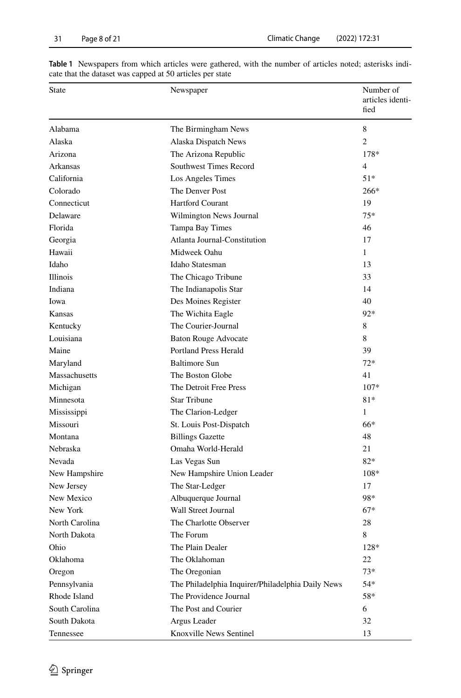| State          | Newspaper                                         | Number of<br>articles identi-<br>fied |
|----------------|---------------------------------------------------|---------------------------------------|
| Alabama        | The Birmingham News                               | 8                                     |
| Alaska         | Alaska Dispatch News                              | $\overline{c}$                        |
| Arizona        | The Arizona Republic                              | 178*                                  |
| Arkansas       | Southwest Times Record                            | $\overline{4}$                        |
| California     | Los Angeles Times                                 | $51*$                                 |
| Colorado       | The Denver Post                                   | $266*$                                |
| Connecticut    | <b>Hartford Courant</b>                           | 19                                    |
| Delaware       | Wilmington News Journal                           | 75*                                   |
| Florida        | Tampa Bay Times                                   | 46                                    |
| Georgia        | Atlanta Journal-Constitution                      | 17                                    |
| Hawaii         | Midweek Oahu                                      | $\mathbf{1}$                          |
| Idaho          | Idaho Statesman                                   | 13                                    |
| Illinois       | The Chicago Tribune                               | 33                                    |
| Indiana        | The Indianapolis Star                             | 14                                    |
| Iowa           | Des Moines Register                               | 40                                    |
| Kansas         | The Wichita Eagle                                 | 92*                                   |
| Kentucky       | The Courier-Journal                               | 8                                     |
| Louisiana      | <b>Baton Rouge Advocate</b>                       | 8                                     |
| Maine          | Portland Press Herald                             | 39                                    |
| Maryland       | <b>Baltimore Sun</b>                              | $72*$                                 |
| Massachusetts  | The Boston Globe                                  | 41                                    |
| Michigan       | The Detroit Free Press                            | $107*$                                |
| Minnesota      | <b>Star Tribune</b>                               | $81*$                                 |
| Mississippi    | The Clarion-Ledger                                | 1                                     |
| Missouri       | St. Louis Post-Dispatch                           | 66*                                   |
| Montana        | <b>Billings Gazette</b>                           | 48                                    |
| Nebraska       | Omaha World-Herald                                | 21                                    |
| Nevada         | Las Vegas Sun                                     | $82*$                                 |
| New Hampshire  | New Hampshire Union Leader                        | $108*$                                |
| New Jersey     | The Star-Ledger                                   | 17                                    |
| New Mexico     | Albuquerque Journal                               | 98*                                   |
| New York       | Wall Street Journal                               | $67*$                                 |
| North Carolina | The Charlotte Observer                            | 28                                    |
| North Dakota   | The Forum                                         | 8                                     |
| Ohio           | The Plain Dealer                                  | 128*                                  |
| Oklahoma       | The Oklahoman                                     | 22                                    |
| Oregon         | The Oregonian                                     | $73*$                                 |
| Pennsylvania   | The Philadelphia Inquirer/Philadelphia Daily News | 54*                                   |
| Rhode Island   | The Providence Journal                            | 58*                                   |
| South Carolina | The Post and Courier                              | 6                                     |
| South Dakota   | Argus Leader                                      | 32                                    |
| Tennessee      | Knoxville News Sentinel                           | 13                                    |

<span id="page-7-0"></span>**Table 1** Newspapers from which articles were gathered, with the number of articles noted; asterisks indicate that the dataset was capped at 50 articles per state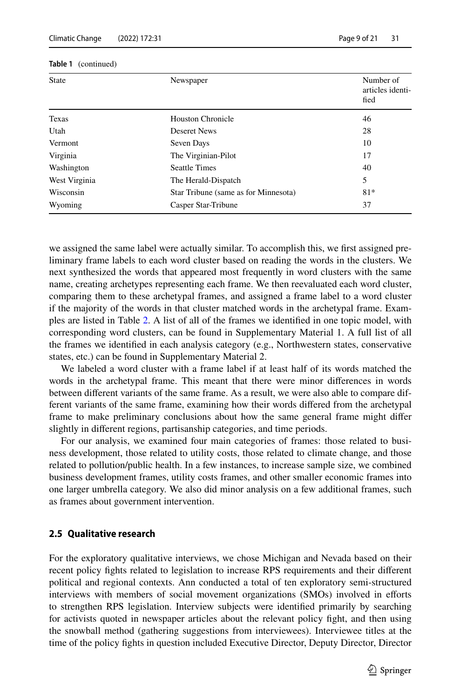| <b>State</b>  | Newspaper                            | Number of<br>articles identi-<br>fied |
|---------------|--------------------------------------|---------------------------------------|
| Texas         | <b>Houston Chronicle</b>             | 46                                    |
| Utah          | <b>Deseret News</b>                  | 28                                    |
| Vermont       | Seven Days                           | 10                                    |
| Virginia      | The Virginian-Pilot                  | 17                                    |
| Washington    | <b>Seattle Times</b>                 | 40                                    |
| West Virginia | The Herald-Dispatch                  | 5                                     |
| Wisconsin     | Star Tribune (same as for Minnesota) | $81*$                                 |
| Wyoming       | Casper Star-Tribune                  | 37                                    |

#### **Table 1** (continued)

we assigned the same label were actually similar. To accomplish this, we frst assigned preliminary frame labels to each word cluster based on reading the words in the clusters. We next synthesized the words that appeared most frequently in word clusters with the same name, creating archetypes representing each frame. We then reevaluated each word cluster, comparing them to these archetypal frames, and assigned a frame label to a word cluster if the majority of the words in that cluster matched words in the archetypal frame. Examples are listed in Table [2](#page-10-0). A list of all of the frames we identifed in one topic model, with corresponding word clusters, can be found in Supplementary Material 1. A full list of all the frames we identifed in each analysis category (e.g., Northwestern states, conservative states, etc.) can be found in Supplementary Material 2.

We labeled a word cluster with a frame label if at least half of its words matched the words in the archetypal frame. This meant that there were minor diferences in words between diferent variants of the same frame. As a result, we were also able to compare different variants of the same frame, examining how their words difered from the archetypal frame to make preliminary conclusions about how the same general frame might difer slightly in diferent regions, partisanship categories, and time periods.

For our analysis, we examined four main categories of frames: those related to business development, those related to utility costs, those related to climate change, and those related to pollution/public health. In a few instances, to increase sample size, we combined business development frames, utility costs frames, and other smaller economic frames into one larger umbrella category. We also did minor analysis on a few additional frames, such as frames about government intervention.

### **2.5 Qualitative research**

For the exploratory qualitative interviews, we chose Michigan and Nevada based on their recent policy fghts related to legislation to increase RPS requirements and their diferent political and regional contexts. Ann conducted a total of ten exploratory semi-structured interviews with members of social movement organizations (SMOs) involved in eforts to strengthen RPS legislation. Interview subjects were identifed primarily by searching for activists quoted in newspaper articles about the relevant policy fght, and then using the snowball method (gathering suggestions from interviewees). Interviewee titles at the time of the policy fghts in question included Executive Director, Deputy Director, Director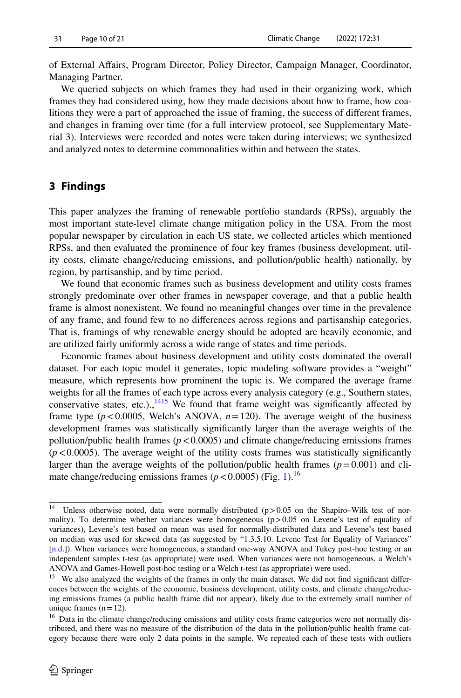of External Afairs, Program Director, Policy Director, Campaign Manager, Coordinator, Managing Partner.

We queried subjects on which frames they had used in their organizing work, which frames they had considered using, how they made decisions about how to frame, how coalitions they were a part of approached the issue of framing, the success of diferent frames, and changes in framing over time (for a full interview protocol, see Supplementary Material 3). Interviews were recorded and notes were taken during interviews; we synthesized and analyzed notes to determine commonalities within and between the states.

## **3 Findings**

This paper analyzes the framing of renewable portfolio standards (RPSs), arguably the most important state-level climate change mitigation policy in the USA. From the most popular newspaper by circulation in each US state, we collected articles which mentioned RPSs, and then evaluated the prominence of four key frames (business development, utility costs, climate change/reducing emissions, and pollution/public health) nationally, by region, by partisanship, and by time period.

We found that economic frames such as business development and utility costs frames strongly predominate over other frames in newspaper coverage, and that a public health frame is almost nonexistent. We found no meaningful changes over time in the prevalence of any frame, and found few to no diferences across regions and partisanship categories. That is, framings of why renewable energy should be adopted are heavily economic, and are utilized fairly uniformly across a wide range of states and time periods.

Economic frames about business development and utility costs dominated the overall dataset. For each topic model it generates, topic modeling software provides a "weight" measure, which represents how prominent the topic is. We compared the average frame weights for all the frames of each type across every analysis category (e.g., Southern states, conservative states, etc.)., $1415$  $1415$  We found that frame weight was significantly affected by frame type  $(p < 0.0005$ , Welch's ANOVA,  $n = 120$ ). The average weight of the business development frames was statistically signifcantly larger than the average weights of the pollution/public health frames  $(p < 0.0005)$  and climate change/reducing emissions frames  $(p<0.0005)$ . The average weight of the utility costs frames was statistically significantly larger than the average weights of the pollution/public health frames  $(p=0.001)$  and climate change/reducing emissions frames ( $p < 0.0005$ ) (Fig. [1](#page-11-0)).<sup>[16](#page-9-2)</sup>

<span id="page-9-0"></span><sup>&</sup>lt;sup>14</sup> Unless otherwise noted, data were normally distributed ( $p > 0.05$  on the Shapiro–Wilk test of normality). To determine whether variances were homogeneous (p > 0.05 on Levene's test of equality of variances), Levene's test based on mean was used for normally-distributed data and Levene's test based on median was used for skewed data (as suggested by "1.3.5.10. Levene Test for Equality of Variances" [\[n.d.](#page-18-17)]). When variances were homogeneous, a standard one-way ANOVA and Tukey post-hoc testing or an independent samples t-test (as appropriate) were used. When variances were not homogeneous, a Welch's ANOVA and Games-Howell post-hoc testing or a Welch t-test (as appropriate) were used.

<span id="page-9-1"></span><sup>&</sup>lt;sup>15</sup> We also analyzed the weights of the frames in only the main dataset. We did not find significant differences between the weights of the economic, business development, utility costs, and climate change/reducing emissions frames (a public health frame did not appear), likely due to the extremely small number of unique frames  $(n=12)$ .

<span id="page-9-2"></span><sup>&</sup>lt;sup>16</sup> Data in the climate change/reducing emissions and utility costs frame categories were not normally distributed, and there was no measure of the distribution of the data in the pollution/public health frame category because there were only 2 data points in the sample. We repeated each of these tests with outliers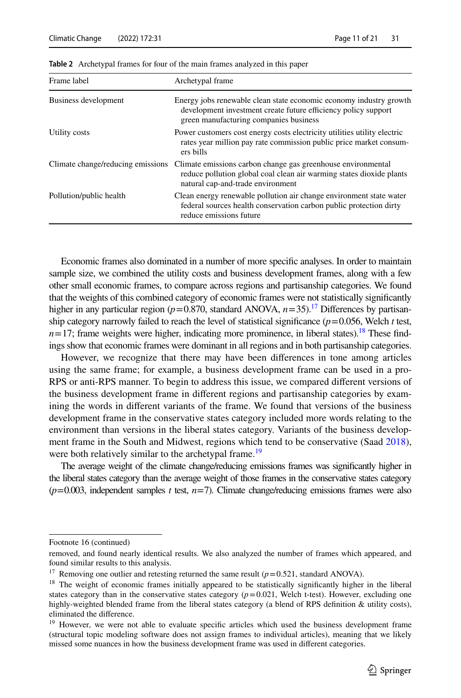| Frame label                       | Archetypal frame                                                                                                                                                               |
|-----------------------------------|--------------------------------------------------------------------------------------------------------------------------------------------------------------------------------|
| Business development              | Energy jobs renewable clean state economic economy industry growth<br>development investment create future efficiency policy support<br>green manufacturing companies business |
| Utility costs                     | Power customers cost energy costs electricity utilities utility electric<br>rates year million pay rate commission public price market consum-<br>ers bills                    |
| Climate change/reducing emissions | Climate emissions carbon change gas greenhouse environmental<br>reduce pollution global coal clean air warming states dioxide plants<br>natural cap-and-trade environment      |
| Pollution/public health           | Clean energy renewable pollution air change environment state water<br>federal sources health conservation carbon public protection dirty<br>reduce emissions future           |

<span id="page-10-0"></span>**Table 2** Archetypal frames for four of the main frames analyzed in this paper

Economic frames also dominated in a number of more specifc analyses. In order to maintain sample size, we combined the utility costs and business development frames, along with a few other small economic frames, to compare across regions and partisanship categories. We found that the weights of this combined category of economic frames were not statistically signifcantly higher in any particular region ( $p=0.870$ , standard ANOVA,  $n=35$ ).<sup>17</sup> Differences by partisanship category narrowly failed to reach the level of statistical significance  $(p=0.056,$  Welch *t* test,  $n=17$ ; frame weights were higher, indicating more prominence, in liberal states).<sup>18</sup> These findings show that economic frames were dominant in all regions and in both partisanship categories.

However, we recognize that there may have been diferences in tone among articles using the same frame; for example, a business development frame can be used in a pro-RPS or anti-RPS manner. To begin to address this issue, we compared diferent versions of the business development frame in diferent regions and partisanship categories by examining the words in diferent variants of the frame. We found that versions of the business development frame in the conservative states category included more words relating to the environment than versions in the liberal states category. Variants of the business development frame in the South and Midwest, regions which tend to be conservative (Saad [2018](#page-20-19)), were both relatively similar to the archetypal frame.<sup>19</sup>

The average weight of the climate change/reducing emissions frames was signifcantly higher in the liberal states category than the average weight of those frames in the conservative states category  $(p=0.003,$  independent samples *t* test,  $n=7$ ). Climate change/reducing emissions frames were also

Footnote 16 (continued)

removed, and found nearly identical results. We also analyzed the number of frames which appeared, and found similar results to this analysis.

<span id="page-10-1"></span><sup>&</sup>lt;sup>17</sup> Removing one outlier and retesting returned the same result  $(p=0.521$ , standard ANOVA).

<span id="page-10-2"></span><sup>&</sup>lt;sup>18</sup> The weight of economic frames initially appeared to be statistically significantly higher in the liberal states category than in the conservative states category  $(p=0.021,$  Welch t-test). However, excluding one highly-weighted blended frame from the liberal states category (a blend of RPS defnition & utility costs), eliminated the diference.

<span id="page-10-3"></span><sup>&</sup>lt;sup>19</sup> However, we were not able to evaluate specific articles which used the business development frame (structural topic modeling software does not assign frames to individual articles), meaning that we likely missed some nuances in how the business development frame was used in diferent categories.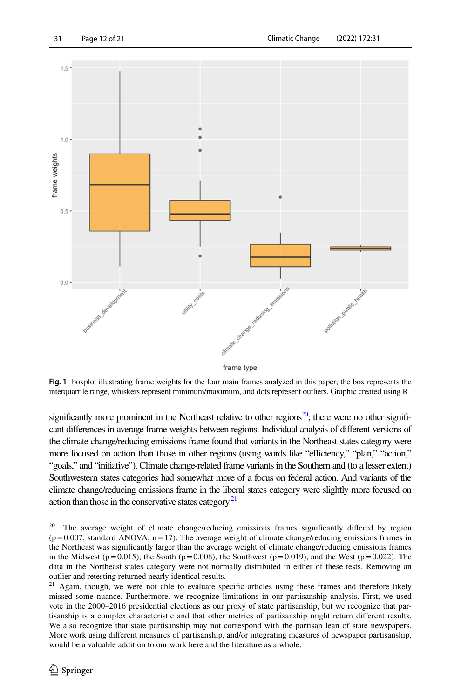



<span id="page-11-0"></span>**Fig. 1** boxplot illustrating frame weights for the four main frames analyzed in this paper; the box represents the interquartile range, whiskers represent minimum/maximum, and dots represent outliers. Graphic created using R

significantly more prominent in the Northeast relative to other regions<sup>20</sup>; there were no other significant diferences in average frame weights between regions. Individual analysis of diferent versions of the climate change/reducing emissions frame found that variants in the Northeast states category were more focused on action than those in other regions (using words like "efficiency," "plan," "action," "goals," and "initiative"). Climate change-related frame variants in the Southern and (to a lesser extent) Southwestern states categories had somewhat more of a focus on federal action. And variants of the climate change/reducing emissions frame in the liberal states category were slightly more focused on action than those in the conservative states category.<sup>21</sup>

<span id="page-11-1"></span><sup>&</sup>lt;sup>20</sup> The average weight of climate change/reducing emissions frames significantly differed by region  $(p=0.007,$  standard ANOVA,  $n=17$ ). The average weight of climate change/reducing emissions frames in the Northeast was signifcantly larger than the average weight of climate change/reducing emissions frames in the Midwest ( $p=0.015$ ), the South ( $p=0.008$ ), the Southwest ( $p=0.019$ ), and the West ( $p=0.022$ ). The data in the Northeast states category were not normally distributed in either of these tests. Removing an outlier and retesting returned nearly identical results.

<span id="page-11-2"></span><sup>&</sup>lt;sup>21</sup> Again, though, we were not able to evaluate specific articles using these frames and therefore likely missed some nuance. Furthermore, we recognize limitations in our partisanship analysis. First, we used vote in the 2000–2016 presidential elections as our proxy of state partisanship, but we recognize that partisanship is a complex characteristic and that other metrics of partisanship might return diferent results. We also recognize that state partisanship may not correspond with the partisan lean of state newspapers. More work using diferent measures of partisanship, and/or integrating measures of newspaper partisanship, would be a valuable addition to our work here and the literature as a whole.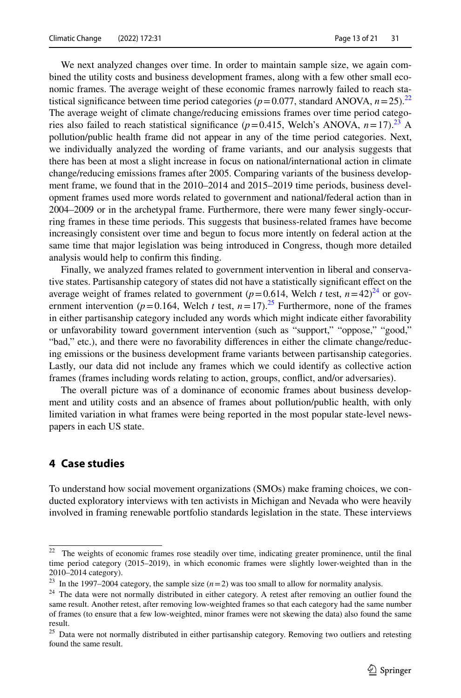We next analyzed changes over time. In order to maintain sample size, we again combined the utility costs and business development frames, along with a few other small economic frames. The average weight of these economic frames narrowly failed to reach statistical significance between time period categories ( $p=0.077$ , standard ANOVA,  $n=25$ ).<sup>[22](#page-12-0)</sup> The average weight of climate change/reducing emissions frames over time period categories also failed to reach statistical significance ( $p=0.415$ , Welch's ANOVA,  $n=17$ ).<sup>[23](#page-12-1)</sup> A pollution/public health frame did not appear in any of the time period categories. Next, we individually analyzed the wording of frame variants, and our analysis suggests that there has been at most a slight increase in focus on national/international action in climate change/reducing emissions frames after 2005. Comparing variants of the business development frame, we found that in the 2010–2014 and 2015–2019 time periods, business development frames used more words related to government and national/federal action than in 2004–2009 or in the archetypal frame. Furthermore, there were many fewer singly-occurring frames in these time periods. This suggests that business-related frames have become increasingly consistent over time and begun to focus more intently on federal action at the same time that major legislation was being introduced in Congress, though more detailed analysis would help to confrm this fnding.

Finally, we analyzed frames related to government intervention in liberal and conservative states. Partisanship category of states did not have a statistically signifcant efect on the average weight of frames related to government ( $p=0.614$ , Welch *t* test,  $n=42)^{24}$  or government intervention ( $p=0.164$ , Welch *t* test,  $n=17$ ).<sup>25</sup> Furthermore, none of the frames in either partisanship category included any words which might indicate either favorability or unfavorability toward government intervention (such as "support," "oppose," "good," "bad," etc.), and there were no favorability diferences in either the climate change/reducing emissions or the business development frame variants between partisanship categories. Lastly, our data did not include any frames which we could identify as collective action frames (frames including words relating to action, groups, confict, and/or adversaries).

The overall picture was of a dominance of economic frames about business development and utility costs and an absence of frames about pollution/public health, with only limited variation in what frames were being reported in the most popular state-level newspapers in each US state.

## **4 Case studies**

To understand how social movement organizations (SMOs) make framing choices, we conducted exploratory interviews with ten activists in Michigan and Nevada who were heavily involved in framing renewable portfolio standards legislation in the state. These interviews

<span id="page-12-0"></span><sup>&</sup>lt;sup>22</sup> The weights of economic frames rose steadily over time, indicating greater prominence, until the final time period category (2015–2019), in which economic frames were slightly lower-weighted than in the 2010–2014 category).

<span id="page-12-1"></span><sup>&</sup>lt;sup>23</sup> In the 1997–2004 category, the sample size  $(n=2)$  was too small to allow for normality analysis.

<span id="page-12-2"></span><sup>&</sup>lt;sup>24</sup> The data were not normally distributed in either category. A retest after removing an outlier found the same result. Another retest, after removing low-weighted frames so that each category had the same number of frames (to ensure that a few low-weighted, minor frames were not skewing the data) also found the same result.

<span id="page-12-3"></span><sup>&</sup>lt;sup>25</sup> Data were not normally distributed in either partisanship category. Removing two outliers and retesting found the same result.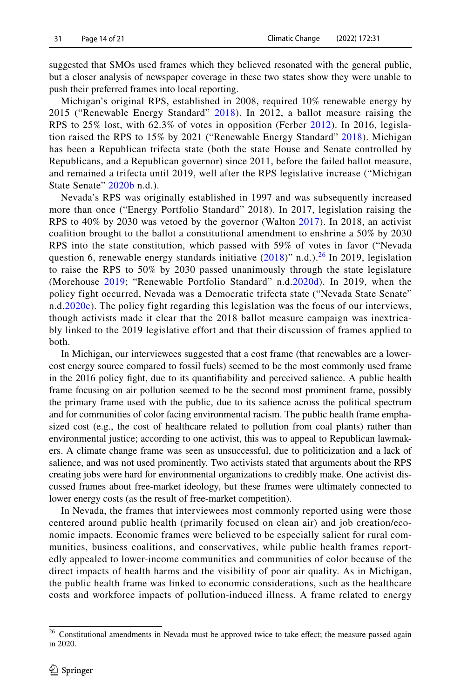suggested that SMOs used frames which they believed resonated with the general public, but a closer analysis of newspaper coverage in these two states show they were unable to push their preferred frames into local reporting.

Michigan's original RPS, established in 2008, required 10% renewable energy by 2015 ("Renewable Energy Standard" [2018\)](#page-18-18). In 2012, a ballot measure raising the RPS to 25% lost, with 62.3% of votes in opposition (Ferber [2012\)](#page-19-26). In 2016, legislation raised the RPS to 15% by 2021 ("Renewable Energy Standard" [2018\)](#page-18-18). Michigan has been a Republican trifecta state (both the state House and Senate controlled by Republicans, and a Republican governor) since 2011, before the failed ballot measure, and remained a trifecta until 2019, well after the RPS legislative increase ("Michigan State Senate" [2020b](#page-18-19) n.d.).

Nevada's RPS was originally established in 1997 and was subsequently increased more than once ("Energy Portfolio Standard" 2018). In 2017, legislation raising the RPS to 40% by 2030 was vetoed by the governor (Walton [2017\)](#page-20-20). In 2018, an activist coalition brought to the ballot a constitutional amendment to enshrine a 50% by 2030 RPS into the state constitution, which passed with 59% of votes in favor ("Nevada question 6, renewable energy standards initiative  $(2018)$  $(2018)$ " n.d.).<sup>26</sup> In 2019, legislation to raise the RPS to 50% by 2030 passed unanimously through the state legislature (Morehouse [2019](#page-19-27); "Renewable Portfolio Standard" n.d[.2020d](#page-18-20)). In 2019, when the policy fight occurred, Nevada was a Democratic trifecta state ("Nevada State Senate" n.d.[2020c](#page-18-21)). The policy fight regarding this legislation was the focus of our interviews, though activists made it clear that the 2018 ballot measure campaign was inextricably linked to the 2019 legislative effort and that their discussion of frames applied to both.

In Michigan, our interviewees suggested that a cost frame (that renewables are a lowercost energy source compared to fossil fuels) seemed to be the most commonly used frame in the 2016 policy fght, due to its quantifability and perceived salience. A public health frame focusing on air pollution seemed to be the second most prominent frame, possibly the primary frame used with the public, due to its salience across the political spectrum and for communities of color facing environmental racism. The public health frame emphasized cost (e.g., the cost of healthcare related to pollution from coal plants) rather than environmental justice; according to one activist, this was to appeal to Republican lawmakers. A climate change frame was seen as unsuccessful, due to politicization and a lack of salience, and was not used prominently. Two activists stated that arguments about the RPS creating jobs were hard for environmental organizations to credibly make. One activist discussed frames about free-market ideology, but these frames were ultimately connected to lower energy costs (as the result of free-market competition).

In Nevada, the frames that interviewees most commonly reported using were those centered around public health (primarily focused on clean air) and job creation/economic impacts. Economic frames were believed to be especially salient for rural communities, business coalitions, and conservatives, while public health frames reportedly appealed to lower-income communities and communities of color because of the direct impacts of health harms and the visibility of poor air quality. As in Michigan, the public health frame was linked to economic considerations, such as the healthcare costs and workforce impacts of pollution-induced illness. A frame related to energy

<span id="page-13-0"></span><sup>&</sup>lt;sup>26</sup> Constitutional amendments in Nevada must be approved twice to take effect; the measure passed again in 2020.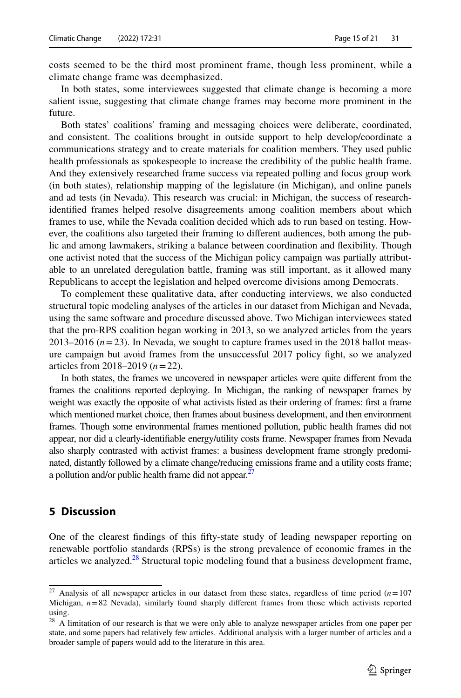costs seemed to be the third most prominent frame, though less prominent, while a climate change frame was deemphasized.

In both states, some interviewees suggested that climate change is becoming a more salient issue, suggesting that climate change frames may become more prominent in the future.

Both states' coalitions' framing and messaging choices were deliberate, coordinated, and consistent. The coalitions brought in outside support to help develop/coordinate a communications strategy and to create materials for coalition members. They used public health professionals as spokespeople to increase the credibility of the public health frame. And they extensively researched frame success via repeated polling and focus group work (in both states), relationship mapping of the legislature (in Michigan), and online panels and ad tests (in Nevada). This research was crucial: in Michigan, the success of researchidentifed frames helped resolve disagreements among coalition members about which frames to use, while the Nevada coalition decided which ads to run based on testing. However, the coalitions also targeted their framing to diferent audiences, both among the public and among lawmakers, striking a balance between coordination and fexibility. Though one activist noted that the success of the Michigan policy campaign was partially attributable to an unrelated deregulation battle, framing was still important, as it allowed many Republicans to accept the legislation and helped overcome divisions among Democrats.

To complement these qualitative data, after conducting interviews, we also conducted structural topic modeling analyses of the articles in our dataset from Michigan and Nevada, using the same software and procedure discussed above. Two Michigan interviewees stated that the pro-RPS coalition began working in 2013, so we analyzed articles from the years 2013–2016  $(n=23)$ . In Nevada, we sought to capture frames used in the 2018 ballot measure campaign but avoid frames from the unsuccessful 2017 policy fght, so we analyzed articles from 2018–2019 (*n*=22).

In both states, the frames we uncovered in newspaper articles were quite diferent from the frames the coalitions reported deploying. In Michigan, the ranking of newspaper frames by weight was exactly the opposite of what activists listed as their ordering of frames: frst a frame which mentioned market choice, then frames about business development, and then environment frames. Though some environmental frames mentioned pollution, public health frames did not appear, nor did a clearly-identifable energy/utility costs frame. Newspaper frames from Nevada also sharply contrasted with activist frames: a business development frame strongly predominated, distantly followed by a climate change/reducing emissions frame and a utility costs frame; a pollution and/or public health frame did not appear.<sup>2</sup>

## **5 Discussion**

One of the clearest fndings of this ffty-state study of leading newspaper reporting on renewable portfolio standards (RPSs) is the strong prevalence of economic frames in the articles we analyzed.<sup>28</sup> Structural topic modeling found that a business development frame,

<span id="page-14-0"></span><sup>&</sup>lt;sup>27</sup> Analysis of all newspaper articles in our dataset from these states, regardless of time period  $(n=107)$ Michigan,  $n=82$  Nevada), similarly found sharply different frames from those which activists reported using.

<span id="page-14-1"></span><sup>&</sup>lt;sup>28</sup> A limitation of our research is that we were only able to analyze newspaper articles from one paper per state, and some papers had relatively few articles. Additional analysis with a larger number of articles and a broader sample of papers would add to the literature in this area.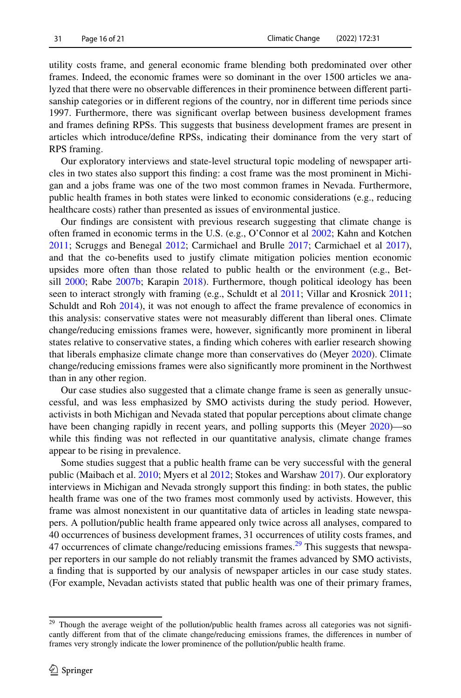utility costs frame, and general economic frame blending both predominated over other frames. Indeed, the economic frames were so dominant in the over 1500 articles we analyzed that there were no observable diferences in their prominence between diferent partisanship categories or in diferent regions of the country, nor in diferent time periods since 1997. Furthermore, there was signifcant overlap between business development frames and frames defning RPSs. This suggests that business development frames are present in articles which introduce/defne RPSs, indicating their dominance from the very start of RPS framing.

Our exploratory interviews and state-level structural topic modeling of newspaper articles in two states also support this fnding: a cost frame was the most prominent in Michigan and a jobs frame was one of the two most common frames in Nevada. Furthermore, public health frames in both states were linked to economic considerations (e.g., reducing healthcare costs) rather than presented as issues of environmental justice.

Our fndings are consistent with previous research suggesting that climate change is often framed in economic terms in the U.S. (e.g., O'Connor et al [2002](#page-19-28); Kahn and Kotchen [2011;](#page-19-29) Scruggs and Benegal [2012;](#page-20-21) Carmichael and Brulle [2017](#page-18-5); Carmichael et al [2017](#page-18-6)), and that the co-benefts used to justify climate mitigation policies mention economic upsides more often than those related to public health or the environment (e.g., Betsill [2000](#page-18-9); Rabe [2007b](#page-19-17); Karapin [2018\)](#page-19-20). Furthermore, though political ideology has been seen to interact strongly with framing (e.g., Schuldt et al [2011;](#page-20-0) Villar and Krosnick [2011](#page-20-1); Schuldt and Roh [2014\)](#page-20-2), it was not enough to affect the frame prevalence of economics in this analysis: conservative states were not measurably diferent than liberal ones. Climate change/reducing emissions frames were, however, signifcantly more prominent in liberal states relative to conservative states, a fnding which coheres with earlier research showing that liberals emphasize climate change more than conservatives do (Meyer [2020](#page-19-30)). Climate change/reducing emissions frames were also signifcantly more prominent in the Northwest than in any other region.

Our case studies also suggested that a climate change frame is seen as generally unsuccessful, and was less emphasized by SMO activists during the study period. However, activists in both Michigan and Nevada stated that popular perceptions about climate change have been changing rapidly in recent years, and polling supports this (Meyer [2020](#page-19-30))—so while this fnding was not refected in our quantitative analysis, climate change frames appear to be rising in prevalence.

Some studies suggest that a public health frame can be very successful with the general public (Maibach et al. [2010;](#page-19-18) Myers et al [2012](#page-19-7); Stokes and Warshaw [2017\)](#page-20-12). Our exploratory interviews in Michigan and Nevada strongly support this fnding: in both states, the public health frame was one of the two frames most commonly used by activists. However, this frame was almost nonexistent in our quantitative data of articles in leading state newspapers. A pollution/public health frame appeared only twice across all analyses, compared to 40 occurrences of business development frames, 31 occurrences of utility costs frames, and 47 occurrences of climate change/reducing emissions frames.<sup>29</sup> This suggests that newspaper reporters in our sample do not reliably transmit the frames advanced by SMO activists, a fnding that is supported by our analysis of newspaper articles in our case study states. (For example, Nevadan activists stated that public health was one of their primary frames,

<span id="page-15-0"></span><sup>&</sup>lt;sup>29</sup> Though the average weight of the pollution/public health frames across all categories was not significantly diferent from that of the climate change/reducing emissions frames, the diferences in number of frames very strongly indicate the lower prominence of the pollution/public health frame.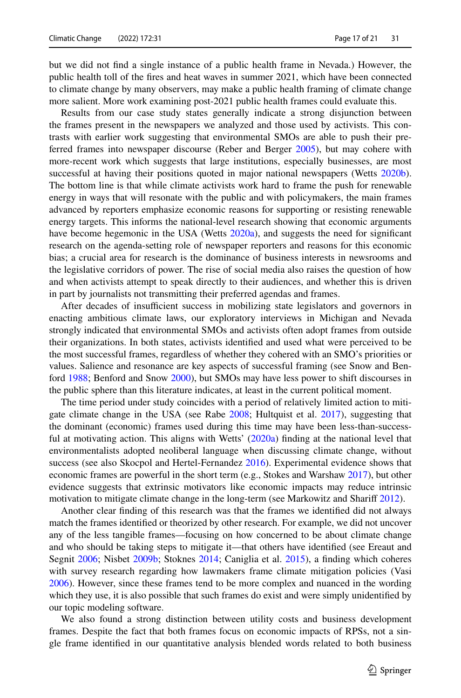but we did not fnd a single instance of a public health frame in Nevada.) However, the public health toll of the fres and heat waves in summer 2021, which have been connected to climate change by many observers, may make a public health framing of climate change more salient. More work examining post-2021 public health frames could evaluate this.

Results from our case study states generally indicate a strong disjunction between the frames present in the newspapers we analyzed and those used by activists. This contrasts with earlier work suggesting that environmental SMOs are able to push their preferred frames into newspaper discourse (Reber and Berger [2005](#page-20-17)), but may cohere with more-recent work which suggests that large institutions, especially businesses, are most successful at having their positions quoted in major national newspapers (Wetts [2020b](#page-20-22)). The bottom line is that while climate activists work hard to frame the push for renewable energy in ways that will resonate with the public and with policymakers, the main frames advanced by reporters emphasize economic reasons for supporting or resisting renewable energy targets. This informs the national-level research showing that economic arguments have become hegemonic in the USA (Wetts [2020a\)](#page-20-16), and suggests the need for significant research on the agenda-setting role of newspaper reporters and reasons for this economic bias; a crucial area for research is the dominance of business interests in newsrooms and the legislative corridors of power. The rise of social media also raises the question of how and when activists attempt to speak directly to their audiences, and whether this is driven in part by journalists not transmitting their preferred agendas and frames.

After decades of insufficient success in mobilizing state legislators and governors in enacting ambitious climate laws, our exploratory interviews in Michigan and Nevada strongly indicated that environmental SMOs and activists often adopt frames from outside their organizations. In both states, activists identifed and used what were perceived to be the most successful frames, regardless of whether they cohered with an SMO's priorities or values. Salience and resonance are key aspects of successful framing (see Snow and Benford [1988;](#page-20-6) Benford and Snow [2000\)](#page-18-3), but SMOs may have less power to shift discourses in the public sphere than this literature indicates, at least in the current political moment.

The time period under study coincides with a period of relatively limited action to mitigate climate change in the USA (see Rabe [2008;](#page-19-2) Hultquist et al. [2017](#page-19-5)), suggesting that the dominant (economic) frames used during this time may have been less-than-success-ful at motivating action. This aligns with Wetts' [\(2020a\)](#page-20-16) finding at the national level that environmentalists adopted neoliberal language when discussing climate change, without success (see also Skocpol and Hertel-Fernandez [2016](#page-20-23)). Experimental evidence shows that economic frames are powerful in the short term (e.g., Stokes and Warshaw [2017\)](#page-20-12), but other evidence suggests that extrinsic motivators like economic impacts may reduce intrinsic motivation to mitigate climate change in the long-term (see Markowitz and Sharif [2012](#page-19-31)).

Another clear fnding of this research was that the frames we identifed did not always match the frames identifed or theorized by other research. For example, we did not uncover any of the less tangible frames—focusing on how concerned to be about climate change and who should be taking steps to mitigate it—that others have identifed (see Ereaut and Segnit [2006](#page-19-22); Nisbet [2009b;](#page-19-23) Stoknes [2014;](#page-20-15) Caniglia et al. [2015](#page-18-10)), a fnding which coheres with survey research regarding how lawmakers frame climate mitigation policies (Vasi [2006\)](#page-20-13). However, since these frames tend to be more complex and nuanced in the wording which they use, it is also possible that such frames do exist and were simply unidentifed by our topic modeling software.

We also found a strong distinction between utility costs and business development frames. Despite the fact that both frames focus on economic impacts of RPSs, not a single frame identifed in our quantitative analysis blended words related to both business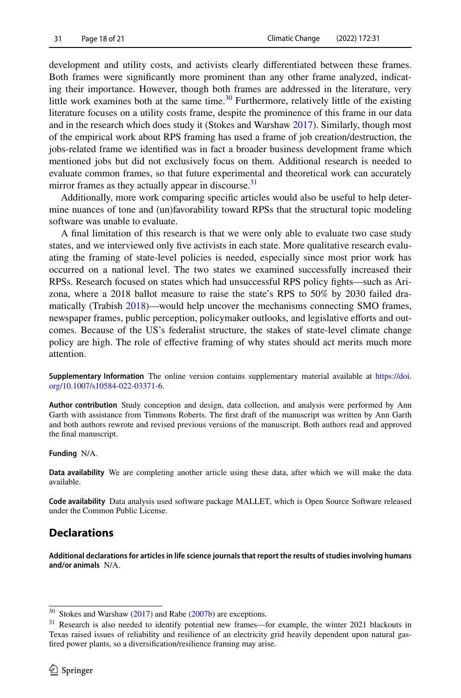development and utility costs, and activists clearly diferentiated between these frames. Both frames were signifcantly more prominent than any other frame analyzed, indicating their importance. However, though both frames are addressed in the literature, very little work examines both at the same time.<sup>[30](#page-17-0)</sup> Furthermore, relatively little of the existing literature focuses on a utility costs frame, despite the prominence of this frame in our data and in the research which does study it (Stokes and Warshaw [2017](#page-20-12)). Similarly, though most of the empirical work about RPS framing has used a frame of job creation/destruction, the jobs-related frame we identifed was in fact a broader business development frame which mentioned jobs but did not exclusively focus on them. Additional research is needed to evaluate common frames, so that future experimental and theoretical work can accurately mirror frames as they actually appear in discourse. $31$ 

Additionally, more work comparing specifc articles would also be useful to help determine nuances of tone and (un)favorability toward RPSs that the structural topic modeling software was unable to evaluate.

A fnal limitation of this research is that we were only able to evaluate two case study states, and we interviewed only fve activists in each state. More qualitative research evaluating the framing of state-level policies is needed, especially since most prior work has occurred on a national level. The two states we examined successfully increased their RPSs. Research focused on states which had unsuccessful RPS policy fghts—such as Arizona, where a 2018 ballot measure to raise the state's RPS to 50% by 2030 failed dramatically (Trabish [2018](#page-20-24))—would help uncover the mechanisms connecting SMO frames, newspaper frames, public perception, policymaker outlooks, and legislative eforts and outcomes. Because of the US's federalist structure, the stakes of state-level climate change policy are high. The role of efective framing of why states should act merits much more attention.

**Supplementary Information** The online version contains supplementary material available at [https://doi.](https://doi.org/10.1007/s10584-022-03371-6) [org/10.1007/s10584-022-03371-6.](https://doi.org/10.1007/s10584-022-03371-6)

**Author contribution** Study conception and design, data collection, and analysis were performed by Ann Garth with assistance from Timmons Roberts. The frst draft of the manuscript was written by Ann Garth and both authors rewrote and revised previous versions of the manuscript. Both authors read and approved the fnal manuscript.

#### **Funding** N/A.

**Data availability** We are completing another article using these data, after which we will make the data available.

**Code availability** Data analysis used software package MALLET, which is Open Source Software released under the Common Public License.

## **Declarations**

**Additional declarations for articles in life science journals that report the results of studies involving humans and/or animals** N/A.

<span id="page-17-0"></span> $30$  Stokes and Warshaw [\(2017](#page-20-12)) and Rabe [\(2007b](#page-19-17)) are exceptions.

<span id="page-17-1"></span><sup>&</sup>lt;sup>31</sup> Research is also needed to identify potential new frames—for example, the winter 2021 blackouts in Texas raised issues of reliability and resilience of an electricity grid heavily dependent upon natural gasfred power plants, so a diversifcation/resilience framing may arise.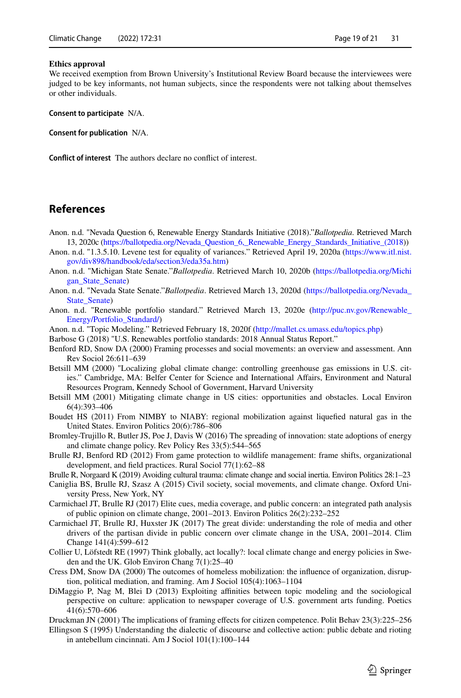#### **Ethics approval**

We received exemption from Brown University's Institutional Review Board because the interviewees were judged to be key informants, not human subjects, since the respondents were not talking about themselves or other individuals.

**Consent to participate** N/A.

**Consent for publication** N/A.

**Confict of interest** The authors declare no confict of interest.

## **References**

- <span id="page-18-18"></span>Anon. n.d. "Nevada Question 6, Renewable Energy Standards Initiative (2018)."*Ballotpedia*. Retrieved March 13, 2020c ([https://ballotpedia.org/Nevada\\_Question\\_6,\\_Renewable\\_Energy\\_Standards\\_Initiative\\_\(2018\)](https://ballotpedia.org/Nevada_Question_6,_Renewable_Energy_Standards_Initiative_(2018))
- <span id="page-18-17"></span>Anon. n.d. "1.3.5.10. Levene test for equality of variances." Retrieved April 19, 2020a [\(https://www.itl.nist.](https://www.itl.nist.gov/div898/handbook/eda/section3/eda35a.htm) [gov/div898/handbook/eda/section3/eda35a.htm](https://www.itl.nist.gov/div898/handbook/eda/section3/eda35a.htm))
- <span id="page-18-19"></span>Anon. n.d. "Michigan State Senate."*Ballotpedia*. Retrieved March 10, 2020b [\(https://ballotpedia.org/Michi](https://ballotpedia.org/Michigan_State_Senate) [gan\\_State\\_Senate\)](https://ballotpedia.org/Michigan_State_Senate)
- <span id="page-18-21"></span>Anon. n.d. "Nevada State Senate."*Ballotpedia*. Retrieved March 13, 2020d [\(https://ballotpedia.org/Nevada\\_](https://ballotpedia.org/Nevada_State_Senate) [State\\_Senate](https://ballotpedia.org/Nevada_State_Senate))
- <span id="page-18-20"></span>Anon. n.d. "Renewable portfolio standard." Retrieved March 13, 2020e ([http://puc.nv.gov/Renewable\\_](http://puc.nv.gov/Renewable_Energy/Portfolio_Standard/) [Energy/Portfolio\\_Standard/\)](http://puc.nv.gov/Renewable_Energy/Portfolio_Standard/)
- <span id="page-18-16"></span>Anon. n.d. "Topic Modeling." Retrieved February 18, 2020f (<http://mallet.cs.umass.edu/topics.php>)
- <span id="page-18-1"></span>Barbose G (2018) "U.S. Renewables portfolio standards: 2018 Annual Status Report."
- <span id="page-18-3"></span>Benford RD, Snow DA (2000) Framing processes and social movements: an overview and assessment. Ann Rev Sociol 26:611–639
- <span id="page-18-9"></span>Betsill MM (2000) "Localizing global climate change: controlling greenhouse gas emissions in U.S. cities." Cambridge, MA: Belfer Center for Science and International Afairs, Environment and Natural Resources Program, Kennedy School of Government, Harvard University
- <span id="page-18-7"></span>Betsill MM (2001) Mitigating climate change in US cities: opportunities and obstacles. Local Environ 6(4):393–406
- <span id="page-18-8"></span>Boudet HS (2011) From NIMBY to NIABY: regional mobilization against liquefed natural gas in the United States. Environ Politics 20(6):786–806
- <span id="page-18-2"></span>Bromley-Trujillo R, Butler JS, Poe J, Davis W (2016) The spreading of innovation: state adoptions of energy and climate change policy. Rev Policy Res 33(5):544–565
- <span id="page-18-14"></span>Brulle RJ, Benford RD (2012) From game protection to wildlife management: frame shifts, organizational development, and feld practices. Rural Sociol 77(1):62–88
- <span id="page-18-11"></span>Brulle R, Norgaard K (2019) Avoiding cultural trauma: climate change and social inertia. Environ Politics 28:1–23
- <span id="page-18-10"></span>Caniglia BS, Brulle RJ, Szasz A (2015) Civil society, social movements, and climate change. Oxford University Press, New York, NY
- <span id="page-18-5"></span>Carmichael JT, Brulle RJ (2017) Elite cues, media coverage, and public concern: an integrated path analysis of public opinion on climate change, 2001–2013. Environ Politics 26(2):232–252
- <span id="page-18-6"></span>Carmichael JT, Brulle RJ, Huxster JK (2017) The great divide: understanding the role of media and other drivers of the partisan divide in public concern over climate change in the USA, 2001–2014. Clim Change 141(4):599–612
- <span id="page-18-0"></span>Collier U, Löfstedt RE (1997) Think globally, act locally?: local climate change and energy policies in Sweden and the UK. Glob Environ Chang 7(1):25–40
- <span id="page-18-13"></span>Cress DM, Snow DA (2000) The outcomes of homeless mobilization: the infuence of organization, disruption, political mediation, and framing. Am J Sociol 105(4):1063–1104
- <span id="page-18-15"></span>DiMaggio P, Nag M, Blei D (2013) Exploiting affinities between topic modeling and the sociological perspective on culture: application to newspaper coverage of U.S. government arts funding. Poetics 41(6):570–606
- <span id="page-18-4"></span>Druckman JN (2001) The implications of framing efects for citizen competence. Polit Behav 23(3):225–256
- <span id="page-18-12"></span>Ellingson S (1995) Understanding the dialectic of discourse and collective action: public debate and rioting in antebellum cincinnati. Am J Sociol 101(1):100–144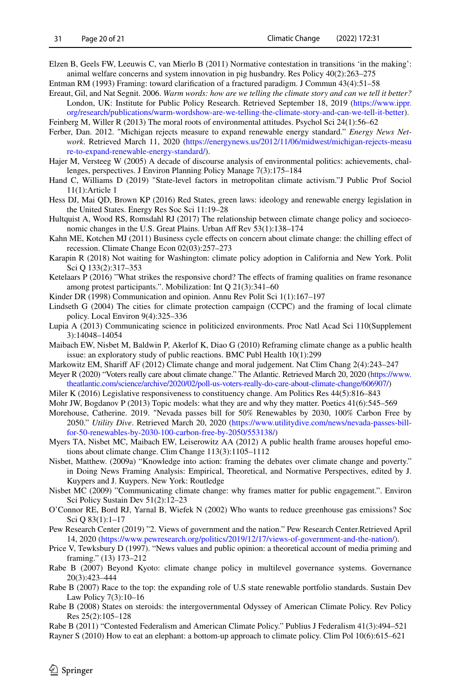- <span id="page-19-11"></span>Elzen B, Geels FW, Leeuwis C, van Mierlo B (2011) Normative contestation in transitions 'in the making': animal welfare concerns and system innovation in pig husbandry. Res Policy 40(2):263–275
- <span id="page-19-8"></span>Entman RM (1993) Framing: toward clarifcation of a fractured paradigm. J Commun 43(4):51–58
- <span id="page-19-22"></span>Ereaut, Gil, and Nat Segnit. 2006. *Warm words: how are we telling the climate story and can we tell it better?* London, UK: Institute for Public Policy Research. Retrieved September 18, 2019 [\(https://www.ippr.](https://www.ippr.org/research/publications/warm-wordshow-are-we-telling-the-climate-story-and-can-we-tell-it-better) [org/research/publications/warm-wordshow-are-we-telling-the-climate-story-and-can-we-tell-it-better](https://www.ippr.org/research/publications/warm-wordshow-are-we-telling-the-climate-story-and-can-we-tell-it-better)).
- <span id="page-19-0"></span>Feinberg M, Willer R (2013) The moral roots of environmental attitudes. Psychol Sci 24(1):56–62
- <span id="page-19-26"></span>Ferber, Dan. 2012. "Michigan rejects measure to expand renewable energy standard." *Energy News Network*. Retrieved March 11, 2020 [\(https://energynews.us/2012/11/06/midwest/michigan-rejects-measu](https://energynews.us/2012/11/06/midwest/michigan-rejects-measure-to-expand-renewable-energy-standard/) [re-to-expand-renewable-energy-standard/\)](https://energynews.us/2012/11/06/midwest/michigan-rejects-measure-to-expand-renewable-energy-standard/).
- <span id="page-19-21"></span>Hajer M, Versteeg W (2005) A decade of discourse analysis of environmental politics: achievements, challenges, perspectives. J Environ Planning Policy Manage 7(3):175–184
- <span id="page-19-6"></span>Hand C, Williams D (2019) "State-level factors in metropolitan climate activism."J Public Prof Sociol 11(1):Article 1
- <span id="page-19-15"></span>Hess DJ, Mai QD, Brown KP (2016) Red States, green laws: ideology and renewable energy legislation in the United States. Energy Res Soc Sci 11:19–28
- <span id="page-19-5"></span>Hultquist A, Wood RS, Romsdahl RJ (2017) The relationship between climate change policy and socioeconomic changes in the U.S. Great Plains. Urban Aff Rev 53(1):138-174
- <span id="page-19-29"></span>Kahn ME, Kotchen MJ (2011) Business cycle effects on concern about climate change: the chilling effect of recession. Climate Change Econ 02(03):257–273
- <span id="page-19-20"></span>Karapin R (2018) Not waiting for Washington: climate policy adoption in California and New York. Polit Sci Q 133(2):317–353
- <span id="page-19-13"></span>Ketelaars P (2016) "What strikes the responsive chord? The effects of framing qualities on frame resonance among protest participants.". Mobilization: Int Q 21(3):341–60
- <span id="page-19-14"></span>Kinder DR (1998) Communication and opinion. Annu Rev Polit Sci 1(1):167–197
- <span id="page-19-1"></span>Lindseth G (2004) The cities for climate protection campaign (CCPC) and the framing of local climate policy. Local Environ 9(4):325–336
- <span id="page-19-12"></span>Lupia A (2013) Communicating science in politicized environments. Proc Natl Acad Sci 110(Supplement 3):14048–14054
- <span id="page-19-18"></span>Maibach EW, Nisbet M, Baldwin P, Akerlof K, Diao G (2010) Reframing climate change as a public health issue: an exploratory study of public reactions. BMC Publ Health 10(1):299
- <span id="page-19-31"></span>Markowitz EM, Sharif AF (2012) Climate change and moral judgement. Nat Clim Chang 2(4):243–247
- <span id="page-19-30"></span>Meyer R (2020) "Voters really care about climate change." The Atlantic. Retrieved March 20, 2020 [\(https://www.](https://www.theatlantic.com/science/archive/2020/02/poll-us-voters-really-do-care-about-climate-change/606907/) [theatlantic.com/science/archive/2020/02/poll-us-voters-really-do-care-about-climate-change/606907/\)](https://www.theatlantic.com/science/archive/2020/02/poll-us-voters-really-do-care-about-climate-change/606907/)
- <span id="page-19-16"></span>Miler K (2016) Legislative responsiveness to constituency change. Am Politics Res 44(5):816–843
- <span id="page-19-25"></span>Mohr JW, Bogdanov P (2013) Topic models: what they are and why they matter. Poetics 41(6):545–569
- <span id="page-19-27"></span>Morehouse, Catherine. 2019. "Nevada passes bill for 50% Renewables by 2030, 100% Carbon Free by 2050." *Utility Dive*. Retrieved March 20, 2020 [\(https://www.utilitydive.com/news/nevada-passes-bill](https://www.utilitydive.com/news/nevada-passes-bill-for-50-renewables-by-2030-100-carbon-free-by-2050/553138/)[for-50-renewables-by-2030-100-carbon-free-by-2050/553138/](https://www.utilitydive.com/news/nevada-passes-bill-for-50-renewables-by-2030-100-carbon-free-by-2050/553138/))
- <span id="page-19-7"></span>Myers TA, Nisbet MC, Maibach EW, Leiserowitz AA (2012) A public health frame arouses hopeful emotions about climate change. Clim Change 113(3):1105–1112
- <span id="page-19-10"></span>Nisbet, Matthew. (2009a) "Knowledge into action: framing the debates over climate change and poverty." in Doing News Framing Analysis: Empirical, Theoretical, and Normative Perspectives, edited by J. Kuypers and J. Kuypers. New York: Routledge
- <span id="page-19-23"></span>Nisbet MC (2009) "Communicating climate change: why frames matter for public engagement.". Environ Sci Policy Sustain Dev 51(2):12–23
- <span id="page-19-28"></span>O'Connor RE, Bord RJ, Yarnal B, Wiefek N (2002) Who wants to reduce greenhouse gas emissions? Soc Sci Q 83(1):1–17
- <span id="page-19-24"></span>Pew Research Center (2019) "2. Views of government and the nation." Pew Research Center.Retrieved April 14, 2020 [\(https://www.pewresearch.org/politics/2019/12/17/views-of-government-and-the-nation/](https://www.pewresearch.org/politics/2019/12/17/views-of-government-and-the-nation/)).
- <span id="page-19-9"></span>Price V, Tewksbury D (1997). "News values and public opinion: a theoretical account of media priming and framing." (13) 173–212
- <span id="page-19-19"></span>Rabe B (2007) Beyond Kyoto: climate change policy in multilevel governance systems. Governance 20(3):423–444
- <span id="page-19-17"></span>Rabe B (2007) Race to the top: the expanding role of U.S state renewable portfolio standards. Sustain Dev Law Policy 7(3):10–16
- <span id="page-19-2"></span>Rabe B (2008) States on steroids: the intergovernmental Odyssey of American Climate Policy. Rev Policy Res 25(2):105–128
- <span id="page-19-4"></span>Rabe B (2011) "Contested Federalism and American Climate Policy." Publius J Federalism 41(3):494–521
- <span id="page-19-3"></span>Rayner S (2010) How to eat an elephant: a bottom-up approach to climate policy. Clim Pol 10(6):615–621